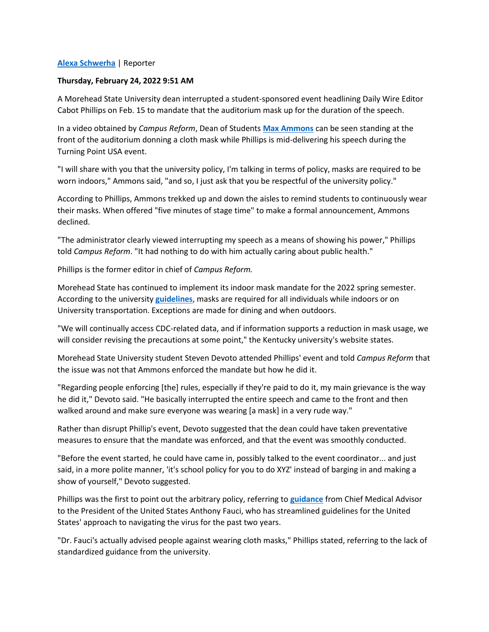## **[Alexa Schwerha](https://www.campusreform.org/profile?pid=6097259)** | Reporter

## **Thursday, February 24, 2022 9:51 AM**

A Morehead State University dean interrupted a student-sponsored event headlining Daily Wire Editor Cabot Phillips on Feb. 15 to mandate that the auditorium mask up for the duration of the speech.

In a video obtained by *Campus Reform*, Dean of Students **[Max Ammons](https://www.moreheadstate.edu/student-affairs/dean-of-students#:~:text=Max%20Ammons%20assumed%20the%20position,year%20career%20in%20the%20military.)** can be seen standing at the front of the auditorium donning a cloth mask while Phillips is mid-delivering his speech during the Turning Point USA event.

"I will share with you that the university policy, I'm talking in terms of policy, masks are required to be worn indoors," Ammons said, "and so, I just ask that you be respectful of the university policy."

According to Phillips, Ammons trekked up and down the aisles to remind students to continuously wear their masks. When offered "five minutes of stage time" to make a formal announcement, Ammons declined.

"The administrator clearly viewed interrupting my speech as a means of showing his power," Phillips told *Campus Reform*. "It had nothing to do with him actually caring about public health."

Phillips is the former editor in chief of *Campus Reform.*

Morehead State has continued to implement its indoor mask mandate for the 2022 spring semester. According to the university **[guidelines](https://www.moreheadstate.edu/healthyatmsu#:~:text=University%20Masking%20Guidelines&text=All%20individuals%20are%20required%20to,as%20their%20comfort%20level%20allows.)**, masks are required for all individuals while indoors or on University transportation. Exceptions are made for dining and when outdoors.

"We will continually access CDC-related data, and if information supports a reduction in mask usage, we will consider revising the precautions at some point," the Kentucky university's website states.

Morehead State University student Steven Devoto attended Phillips' event and told *Campus Reform* that the issue was not that Ammons enforced the mandate but how he did it.

"Regarding people enforcing [the] rules, especially if they're paid to do it, my main grievance is the way he did it," Devoto said. "He basically interrupted the entire speech and came to the front and then walked around and make sure everyone was wearing [a mask] in a very rude way."

Rather than disrupt Phillip's event, Devoto suggested that the dean could have taken preventative measures to ensure that the mandate was enforced, and that the event was smoothly conducted.

"Before the event started, he could have came in, possibly talked to the event coordinator... and just said, in a more polite manner, 'it's school policy for you to do XYZ' instead of barging in and making a show of yourself," Devoto suggested.

Phillips was the first to point out the arbitrary policy, referring to **[guidance](https://www.newsweek.com/fauci-said-masks-not-really-effective-keeping-out-virus-email-reveals-1596703)** from Chief Medical Advisor to the President of the United States Anthony Fauci, who has streamlined guidelines for the United States' approach to navigating the virus for the past two years.

"Dr. Fauci's actually advised people against wearing cloth masks," Phillips stated, referring to the lack of standardized guidance from the university.